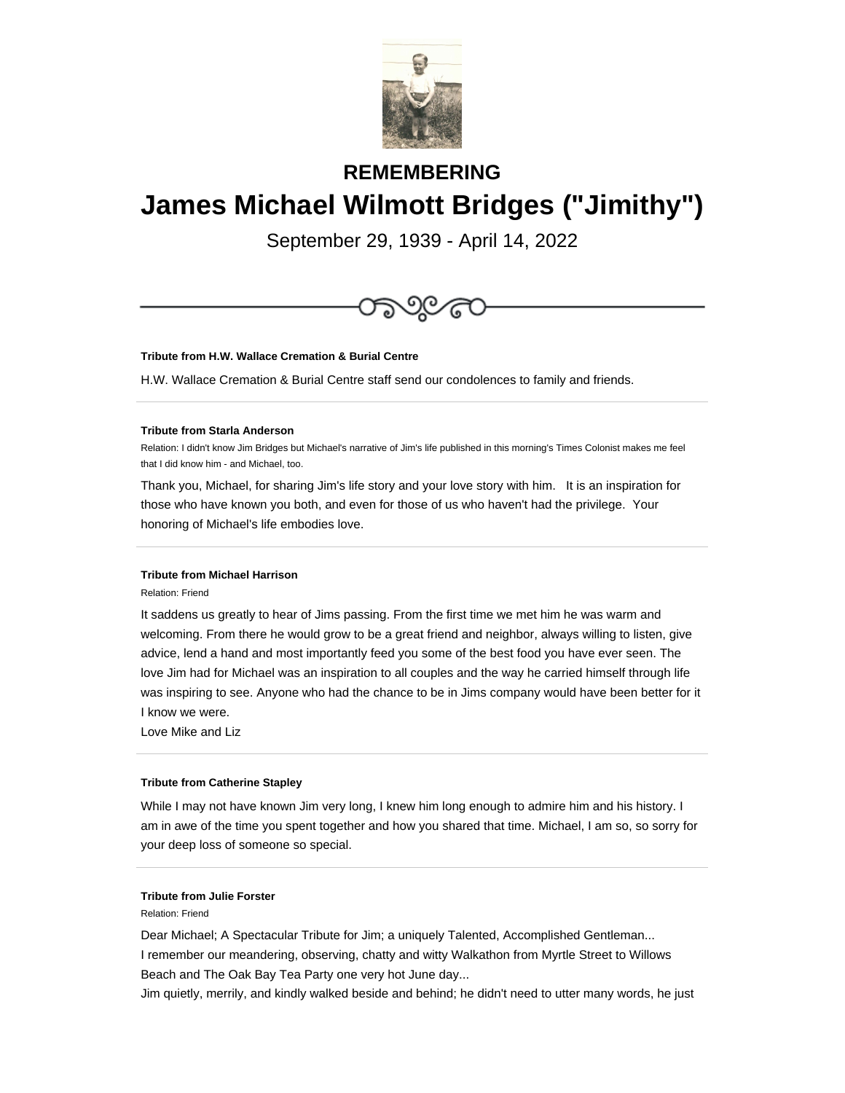

# **REMEMBERING James Michael Wilmott Bridges ("Jimithy")**

September 29, 1939 - April 14, 2022



**Tribute from H.W. Wallace Cremation & Burial Centre**

H.W. Wallace Cremation & Burial Centre staff send our condolences to family and friends.

## **Tribute from Starla Anderson**

Relation: I didn't know Jim Bridges but Michael's narrative of Jim's life published in this morning's Times Colonist makes me feel that I did know him - and Michael, too.

Thank you, Michael, for sharing Jim's life story and your love story with him. It is an inspiration for those who have known you both, and even for those of us who haven't had the privilege. Your honoring of Michael's life embodies love.

## **Tribute from Michael Harrison**

Relation: Friend

It saddens us greatly to hear of Jims passing. From the first time we met him he was warm and welcoming. From there he would grow to be a great friend and neighbor, always willing to listen, give advice, lend a hand and most importantly feed you some of the best food you have ever seen. The love Jim had for Michael was an inspiration to all couples and the way he carried himself through life was inspiring to see. Anyone who had the chance to be in Jims company would have been better for it I know we were.

Love Mike and Liz

#### **Tribute from Catherine Stapley**

While I may not have known Jim very long, I knew him long enough to admire him and his history. I am in awe of the time you spent together and how you shared that time. Michael, I am so, so sorry for your deep loss of someone so special.

# **Tribute from Julie Forster**

Relation: Friend

Dear Michael; A Spectacular Tribute for Jim; a uniquely Talented, Accomplished Gentleman... I remember our meandering, observing, chatty and witty Walkathon from Myrtle Street to Willows Beach and The Oak Bay Tea Party one very hot June day...

Jim quietly, merrily, and kindly walked beside and behind; he didn't need to utter many words, he just